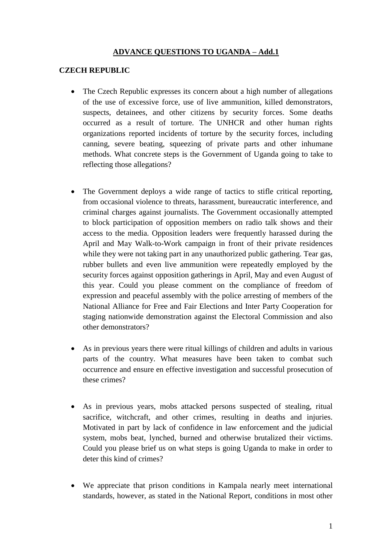## **ADVANCE QUESTIONS TO UGANDA – Add.1**

## **CZECH REPUBLIC**

- The Czech Republic expresses its concern about a high number of allegations of the use of excessive force, use of live ammunition, killed demonstrators, suspects, detainees, and other citizens by security forces. Some deaths occurred as a result of torture. The UNHCR and other human rights organizations reported incidents of torture by the security forces, including canning, severe beating, squeezing of private parts and other inhumane methods. What concrete steps is the Government of Uganda going to take to reflecting those allegations?
- The Government deploys a wide range of tactics to stifle critical reporting, from occasional violence to threats, harassment, bureaucratic interference, and criminal charges against journalists. The Government occasionally attempted to block participation of opposition members on radio talk shows and their access to the media. Opposition leaders were frequently harassed during the April and May Walk-to-Work campaign in front of their private residences while they were not taking part in any unauthorized public gathering. Tear gas, rubber bullets and even live ammunition were repeatedly employed by the security forces against opposition gatherings in April, May and even August of this year. Could you please comment on the compliance of freedom of expression and peaceful assembly with the police arresting of members of the National Alliance for Free and Fair Elections and Inter Party Cooperation for staging nationwide demonstration against the Electoral Commission and also other demonstrators?
- As in previous years there were ritual killings of children and adults in various parts of the country. What measures have been taken to combat such occurrence and ensure en effective investigation and successful prosecution of these crimes?
- As in previous years, mobs attacked persons suspected of stealing, ritual sacrifice, witchcraft, and other crimes, resulting in deaths and injuries. Motivated in part by lack of confidence in law enforcement and the judicial system, mobs beat, lynched, burned and otherwise brutalized their victims. Could you please brief us on what steps is going Uganda to make in order to deter this kind of crimes?
- We appreciate that prison conditions in Kampala nearly meet international standards, however, as stated in the National Report, conditions in most other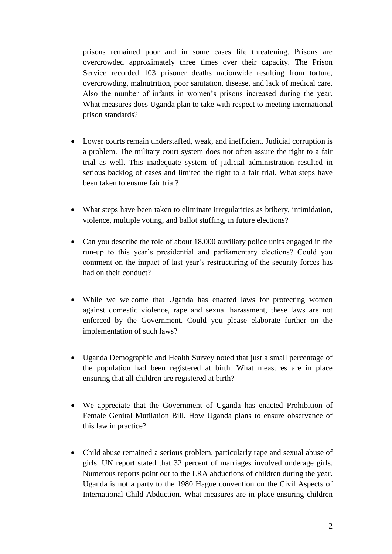prisons remained poor and in some cases life threatening. Prisons are overcrowded approximately three times over their capacity. The Prison Service recorded 103 prisoner deaths nationwide resulting from torture, overcrowding, malnutrition, poor sanitation, disease, and lack of medical care. Also the number of infants in women's prisons increased during the year. What measures does Uganda plan to take with respect to meeting international prison standards?

- Lower courts remain understaffed, weak, and inefficient. Judicial corruption is a problem. The military court system does not often assure the right to a fair trial as well. This inadequate system of judicial administration resulted in serious backlog of cases and limited the right to a fair trial. What steps have been taken to ensure fair trial?
- What steps have been taken to eliminate irregularities as bribery, intimidation, violence, multiple voting, and ballot stuffing, in future elections?
- Can you describe the role of about 18.000 auxiliary police units engaged in the run-up to this year's presidential and parliamentary elections? Could you comment on the impact of last year's restructuring of the security forces has had on their conduct?
- While we welcome that Uganda has enacted laws for protecting women against domestic violence, rape and sexual harassment, these laws are not enforced by the Government. Could you please elaborate further on the implementation of such laws?
- Uganda Demographic and Health Survey noted that just a small percentage of the population had been registered at birth. What measures are in place ensuring that all children are registered at birth?
- We appreciate that the Government of Uganda has enacted Prohibition of Female Genital Mutilation Bill. How Uganda plans to ensure observance of this law in practice?
- Child abuse remained a serious problem, particularly rape and sexual abuse of girls. UN report stated that 32 percent of marriages involved underage girls. Numerous reports point out to the LRA abductions of children during the year. Uganda is not a party to the 1980 Hague convention on the Civil Aspects of International Child Abduction. What measures are in place ensuring children